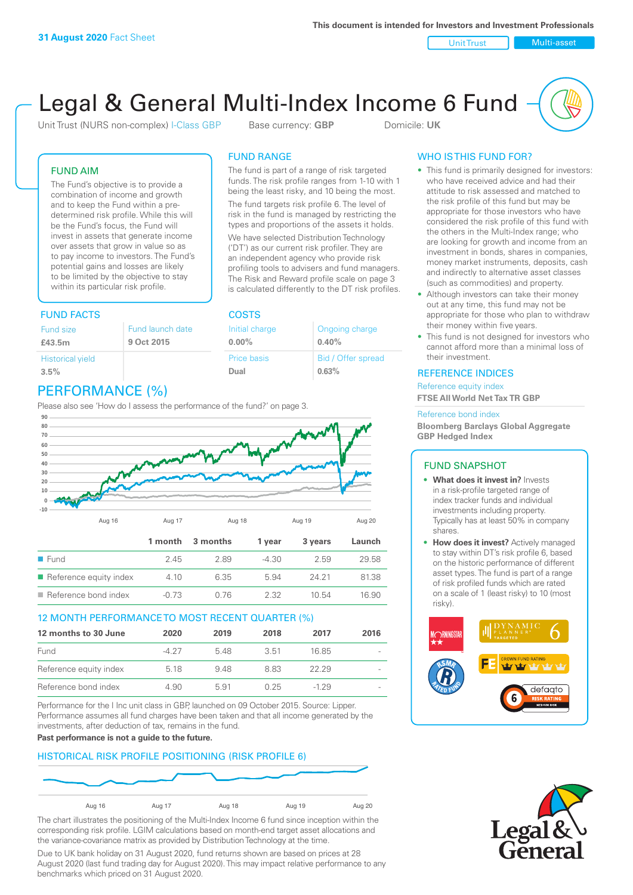Unit Trust Nulti-asset

# Legal & General Multi-Index Income 6 Fund

Unit Trust (NURS non-complex) I-Class GBP Base currency: **GBP** Domicile: UK

The fund is part of a range of risk targeted funds. The risk profile ranges from 1-10 with 1 being the least risky, and 10 being the most. The fund targets risk profile 6. The level of risk in the fund is managed by restricting the types and proportions of the assets it holds. We have selected Distribution Technology ('DT') as our current risk profiler. They are an independent agency who provide risk profiling tools to advisers and fund managers. The Risk and Reward profile scale on page 3 is calculated differently to the DT risk profiles.

> Ongoing charge **0.40%**

Bid / Offer spread

**0.63%**

FUND RANGE

Initial charge **0.00%**

Price basis **Dual**

FUND AIM

The Fund's objective is to provide a combination of income and growth and to keep the Fund within a predetermined risk profile. While this will be the Fund's focus, the Fund will invest in assets that generate income over assets that grow in value so as to pay income to investors. The Fund's potential gains and losses are likely to be limited by the objective to stay within its particular risk profile.

### FUND FACTS COSTS

| Fund size                                | Fund launch date |
|------------------------------------------|------------------|
| £43.5m                                   | 9 Oct 2015       |
| <b>Historical yield</b><br>$3.5^{\circ}$ |                  |

# PERFORMANCE (%)

Please also see 'How do I assess the performance of the fund?' on page 3.



### 12 MONTH PERFORMANCE TO MOST RECENT QUARTER (%)

| 12 months to 30 June   | 2020  | 2019 | 2018 | 2017   | 2016 |
|------------------------|-------|------|------|--------|------|
| Fund                   | -4.27 | 548  | 3.51 | 16.85  |      |
| Reference equity index | 5.18  | 948  | 883  | 22.29  |      |
| Reference bond index   | 4.90  | 591  | 0.25 | $-129$ |      |

Performance for the I Inc unit class in GBP, launched on 09 October 2015. Source: Lipper. Performance assumes all fund charges have been taken and that all income generated by the investments, after deduction of tax, remains in the fund.

**Past performance is not a guide to the future.**

### HISTORICAL RISK PROFILE POSITIONING (RISK PROFILE 6)



The chart illustrates the positioning of the Multi-Index Income 6 fund since inception within the corresponding risk profile. LGIM calculations based on month-end target asset allocations and the variance-covariance matrix as provided by Distribution Technology at the time.

Due to UK bank holiday on 31 August 2020, fund returns shown are based on prices at 28 August 2020 (last fund trading day for August 2020). This may impact relative performance to any benchmarks which priced on 31 August 2020.

### WHO IS THIS FUND FOR?

- This fund is primarily designed for investors: who have received advice and had their attitude to risk assessed and matched to the risk profile of this fund but may be appropriate for those investors who have considered the risk profile of this fund with the others in the Multi-Index range; who are looking for growth and income from an investment in bonds, shares in companies, money market instruments, deposits, cash and indirectly to alternative asset classes (such as commodities) and property.
- Although investors can take their money out at any time, this fund may not be appropriate for those who plan to withdraw their money within five years.
- This fund is not designed for investors who cannot afford more than a minimal loss of their investment.

### REFERENCE INDICES

Reference equity index **FTSE All World Net Tax TR GBP**

#### Reference bond index

**Bloomberg Barclays Global Aggregate GBP Hedged Index**

### FUND SNAPSHOT

- **• What does it invest in?** Invests in a risk-profile targeted range of index tracker funds and individual investments including property. Typically has at least 50% in company shares.
- **• How does it invest?** Actively managed to stay within DT's risk profile 6, based on the historic performance of different asset types. The fund is part of a range of risk profiled funds which are rated on a scale of 1 (least risky) to 10 (most risky).



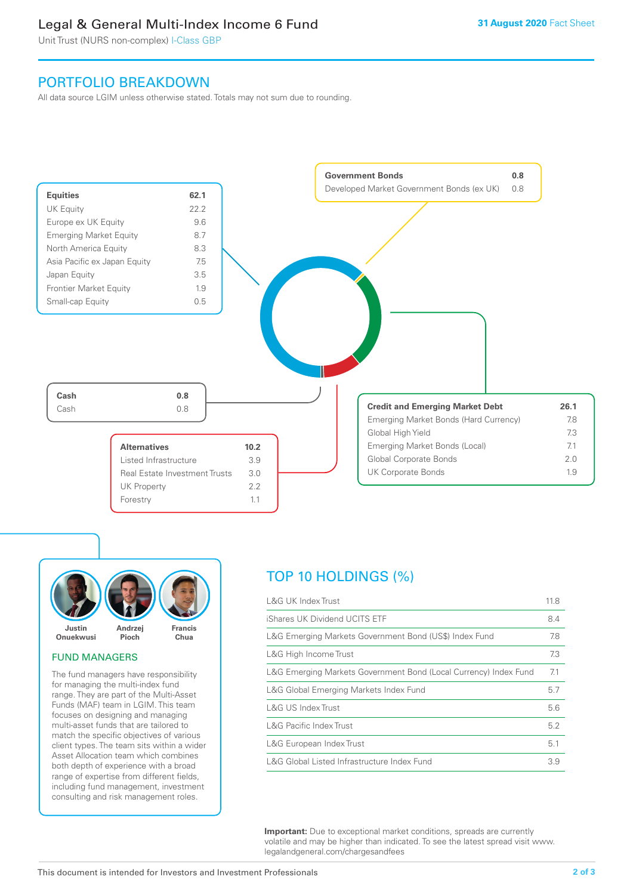# Legal & General Multi-Index Income 6 Fund

Unit Trust (NURS non-complex) I-Class GBP

## PORTFOLIO BREAKDOWN

All data source LGIM unless otherwise stated. Totals may not sum due to rounding.





### FUND MANAGERS

The fund managers have responsibility for managing the multi-index fund range. They are part of the Multi-Asset Funds (MAF) team in LGIM. This team focuses on designing and managing multi-asset funds that are tailored to match the specific objectives of various client types. The team sits within a wider Asset Allocation team which combines both depth of experience with a broad range of expertise from different fields, including fund management, investment consulting and risk management roles.

# TOP 10 HOLDINGS (%)

| <b>L&amp;G UK Index Trust</b>                                    | 11.8 |
|------------------------------------------------------------------|------|
| iShares UK Dividend UCITS ETF                                    | 8.4  |
| L&G Emerging Markets Government Bond (US\$) Index Fund           | 7.8  |
| L&G High Income Trust                                            | 7.3  |
| L&G Emerging Markets Government Bond (Local Currency) Index Fund | 7.1  |
| L&G Global Emerging Markets Index Fund                           | 5.7  |
| L&G US Index Trust                                               | 5.6  |
| <b>L&amp;G Pacific Index Trust</b>                               | 5.2  |
| L&G European Index Trust                                         | 5.1  |
| L&G Global Listed Infrastructure Index Fund                      | 3.9  |

**Important:** Due to exceptional market conditions, spreads are currently volatile and may be higher than indicated. To see the latest spread visit www. legalandgeneral.com/chargesandfees